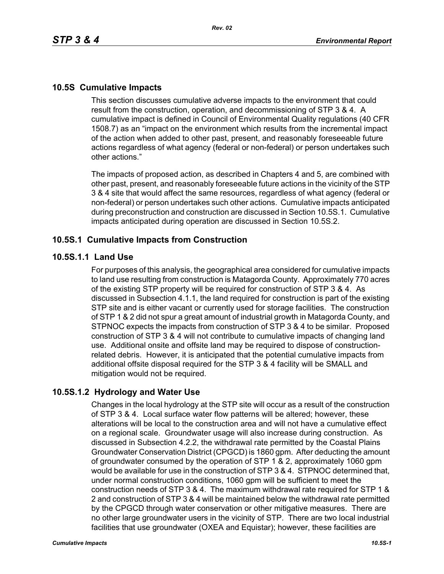# **10.5S Cumulative Impacts**

This section discusses cumulative adverse impacts to the environment that could result from the construction, operation, and decommissioning of STP 3 & 4. A cumulative impact is defined in Council of Environmental Quality regulations (40 CFR 1508.7) as an "impact on the environment which results from the incremental impact of the action when added to other past, present, and reasonably foreseeable future actions regardless of what agency (federal or non-federal) or person undertakes such other actions."

The impacts of proposed action, as described in Chapters 4 and 5, are combined with other past, present, and reasonably foreseeable future actions in the vicinity of the STP 3 & 4 site that would affect the same resources, regardless of what agency (federal or non-federal) or person undertakes such other actions. Cumulative impacts anticipated during preconstruction and construction are discussed in Section 10.5S.1. Cumulative impacts anticipated during operation are discussed in Section 10.5S.2.

### **10.5S.1 Cumulative Impacts from Construction**

### **10.5S.1.1 Land Use**

For purposes of this analysis, the geographical area considered for cumulative impacts to land use resulting from construction is Matagorda County. Approximately 770 acres of the existing STP property will be required for construction of STP 3 & 4. As discussed in Subsection 4.1.1, the land required for construction is part of the existing STP site and is either vacant or currently used for storage facilities. The construction of STP 1 & 2 did not spur a great amount of industrial growth in Matagorda County, and STPNOC expects the impacts from construction of STP 3 & 4 to be similar. Proposed construction of STP 3 & 4 will not contribute to cumulative impacts of changing land use. Additional onsite and offsite land may be required to dispose of constructionrelated debris. However, it is anticipated that the potential cumulative impacts from additional offsite disposal required for the STP 3 & 4 facility will be SMALL and mitigation would not be required.

## **10.5S.1.2 Hydrology and Water Use**

Changes in the local hydrology at the STP site will occur as a result of the construction of STP 3 & 4. Local surface water flow patterns will be altered; however, these alterations will be local to the construction area and will not have a cumulative effect on a regional scale. Groundwater usage will also increase during construction. As discussed in Subsection 4.2.2, the withdrawal rate permitted by the Coastal Plains Groundwater Conservation District (CPGCD) is 1860 gpm. After deducting the amount of groundwater consumed by the operation of STP 1 & 2, approximately 1060 gpm would be available for use in the construction of STP 3 & 4. STPNOC determined that, under normal construction conditions, 1060 gpm will be sufficient to meet the construction needs of STP 3 & 4. The maximum withdrawal rate required for STP 1 & 2 and construction of STP 3 & 4 will be maintained below the withdrawal rate permitted by the CPGCD through water conservation or other mitigative measures. There are no other large groundwater users in the vicinity of STP. There are two local industrial facilities that use groundwater (OXEA and Equistar); however, these facilities are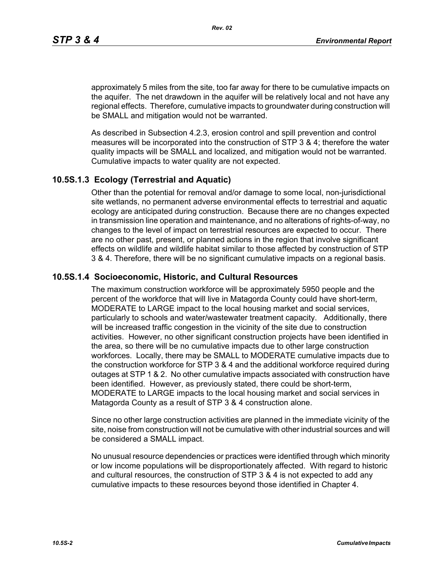approximately 5 miles from the site, too far away for there to be cumulative impacts on the aquifer. The net drawdown in the aquifer will be relatively local and not have any regional effects. Therefore, cumulative impacts to groundwater during construction will be SMALL and mitigation would not be warranted.

As described in Subsection 4.2.3, erosion control and spill prevention and control measures will be incorporated into the construction of STP 3 & 4; therefore the water quality impacts will be SMALL and localized, and mitigation would not be warranted. Cumulative impacts to water quality are not expected.

### **10.5S.1.3 Ecology (Terrestrial and Aquatic)**

Other than the potential for removal and/or damage to some local, non-jurisdictional site wetlands, no permanent adverse environmental effects to terrestrial and aquatic ecology are anticipated during construction. Because there are no changes expected in transmission line operation and maintenance, and no alterations of rights-of-way, no changes to the level of impact on terrestrial resources are expected to occur. There are no other past, present, or planned actions in the region that involve significant effects on wildlife and wildlife habitat similar to those affected by construction of STP 3 & 4. Therefore, there will be no significant cumulative impacts on a regional basis.

#### **10.5S.1.4 Socioeconomic, Historic, and Cultural Resources**

The maximum construction workforce will be approximately 5950 people and the percent of the workforce that will live in Matagorda County could have short-term, MODERATE to LARGE impact to the local housing market and social services, particularly to schools and water/wastewater treatment capacity. Additionally, there will be increased traffic congestion in the vicinity of the site due to construction activities. However, no other significant construction projects have been identified in the area, so there will be no cumulative impacts due to other large construction workforces. Locally, there may be SMALL to MODERATE cumulative impacts due to the construction workforce for STP 3 & 4 and the additional workforce required during outages at STP 1 & 2. No other cumulative impacts associated with construction have been identified. However, as previously stated, there could be short-term, MODERATE to LARGE impacts to the local housing market and social services in Matagorda County as a result of STP 3 & 4 construction alone.

Since no other large construction activities are planned in the immediate vicinity of the site, noise from construction will not be cumulative with other industrial sources and will be considered a SMALL impact.

No unusual resource dependencies or practices were identified through which minority or low income populations will be disproportionately affected. With regard to historic and cultural resources, the construction of STP 3 & 4 is not expected to add any cumulative impacts to these resources beyond those identified in Chapter 4.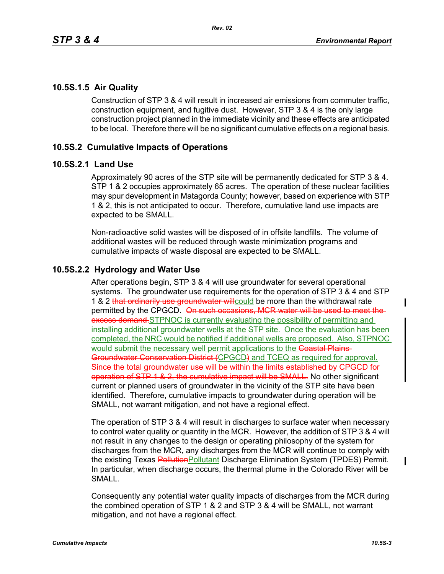## **10.5S.1.5 Air Quality**

Construction of STP 3 & 4 will result in increased air emissions from commuter traffic, construction equipment, and fugitive dust. However, STP 3 & 4 is the only large construction project planned in the immediate vicinity and these effects are anticipated to be local. Therefore there will be no significant cumulative effects on a regional basis.

# **10.5S.2 Cumulative Impacts of Operations**

### **10.5S.2.1 Land Use**

Approximately 90 acres of the STP site will be permanently dedicated for STP 3 & 4. STP 1 & 2 occupies approximately 65 acres. The operation of these nuclear facilities may spur development in Matagorda County; however, based on experience with STP 1 & 2, this is not anticipated to occur. Therefore, cumulative land use impacts are expected to be SMALL.

Non-radioactive solid wastes will be disposed of in offsite landfills. The volume of additional wastes will be reduced through waste minimization programs and cumulative impacts of waste disposal are expected to be SMALL.

## **10.5S.2.2 Hydrology and Water Use**

After operations begin, STP 3 & 4 will use groundwater for several operational systems. The groundwater use requirements for the operation of STP 3 & 4 and STP 1 & 2 that ordinarily use groundwater will could be more than the withdrawal rate permitted by the CPGCD. On such occasions, MCR water will be used to meet the excess demand. STPNOC is currently evaluating the possibility of permitting and installing additional groundwater wells at the STP site. Once the evaluation has been completed, the NRC would be notified if additional wells are proposed. Also, STPNOC would submit the necessary well permit applications to the Coastal Plains-Groundwater Conservation District (CPGCD) and TCEQ as required for approval. Since the total groundwater use will be within the limits established by CPGCD for operation of STP 1 & 2, the cumulative impact will be SMALL. No other significant current or planned users of groundwater in the vicinity of the STP site have been identified. Therefore, cumulative impacts to groundwater during operation will be SMALL, not warrant mitigation, and not have a regional effect.

The operation of STP 3 & 4 will result in discharges to surface water when necessary to control water quality or quantity in the MCR. However, the addition of STP 3 & 4 will not result in any changes to the design or operating philosophy of the system for discharges from the MCR, any discharges from the MCR will continue to comply with the existing Texas PollutionPollutant Discharge Elimination System (TPDES) Permit. In particular, when discharge occurs, the thermal plume in the Colorado River will be SMALL.

Consequently any potential water quality impacts of discharges from the MCR during the combined operation of STP 1 & 2 and STP 3 & 4 will be SMALL, not warrant mitigation, and not have a regional effect.

Π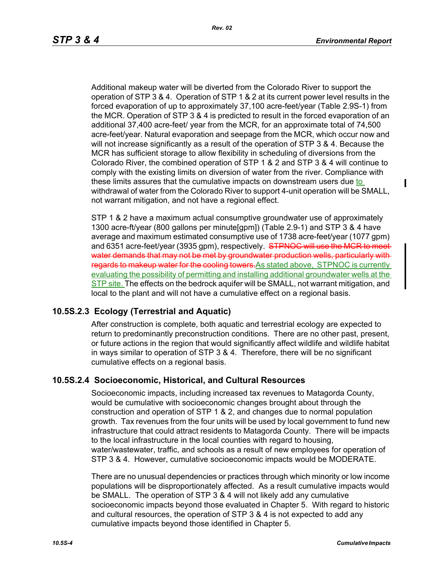Ι

Additional makeup water will be diverted from the Colorado River to support the operation of STP 3 & 4. Operation of STP 1 & 2 at its current power level results in the forced evaporation of up to approximately 37,100 acre-feet/year (Table 2.9S-1) from the MCR. Operation of STP 3 & 4 is predicted to result in the forced evaporation of an additional 37,400 acre-feet/ year from the MCR, for an approximate total of 74,500 acre-feet/year. Natural evaporation and seepage from the MCR, which occur now and will not increase significantly as a result of the operation of STP 3 & 4. Because the MCR has sufficient storage to allow flexibility in scheduling of diversions from the Colorado River, the combined operation of STP 1 & 2 and STP 3 & 4 will continue to comply with the existing limits on diversion of water from the river. Compliance with these limits assures that the cumulative impacts on downstream users due to withdrawal of water from the Colorado River to support 4-unit operation will be SMALL, not warrant mitigation, and not have a regional effect.

STP 1 & 2 have a maximum actual consumptive groundwater use of approximately 1300 acre-ft/year (800 gallons per minute[gpm]) (Table 2.9-1) and STP 3 & 4 have average and maximum estimated consumptive use of 1738 acre-feet/year (1077 gpm) and 6351 acre-feet/year (3935 gpm), respectively. STPNOC will use the MCR to meet water demands that may not be met by groundwater production wells, particularly with regards to makeup water for the cooling towers. As stated above, STPNOC is currently evaluating the possibility of permitting and installing additional groundwater wells at the STP site. The effects on the bedrock aquifer will be SMALL, not warrant mitigation, and local to the plant and will not have a cumulative effect on a regional basis.

## **10.5S.2.3 Ecology (Terrestrial and Aquatic)**

After construction is complete, both aquatic and terrestrial ecology are expected to return to predominantly preconstruction conditions. There are no other past, present, or future actions in the region that would significantly affect wildlife and wildlife habitat in ways similar to operation of STP 3 & 4. Therefore, there will be no significant cumulative effects on a regional basis.

#### **10.5S.2.4 Socioeconomic, Historical, and Cultural Resources**

Socioeconomic impacts, including increased tax revenues to Matagorda County, would be cumulative with socioeconomic changes brought about through the construction and operation of STP 1 & 2, and changes due to normal population growth. Tax revenues from the four units will be used by local government to fund new infrastructure that could attract residents to Matagorda County. There will be impacts to the local infrastructure in the local counties with regard to housing, water/wastewater, traffic, and schools as a result of new employees for operation of STP 3 & 4. However, cumulative socioeconomic impacts would be MODERATE.

There are no unusual dependencies or practices through which minority or low income populations will be disproportionately affected. As a result cumulative impacts would be SMALL. The operation of STP 3 & 4 will not likely add any cumulative socioeconomic impacts beyond those evaluated in Chapter 5. With regard to historic and cultural resources, the operation of STP 3 & 4 is not expected to add any cumulative impacts beyond those identified in Chapter 5.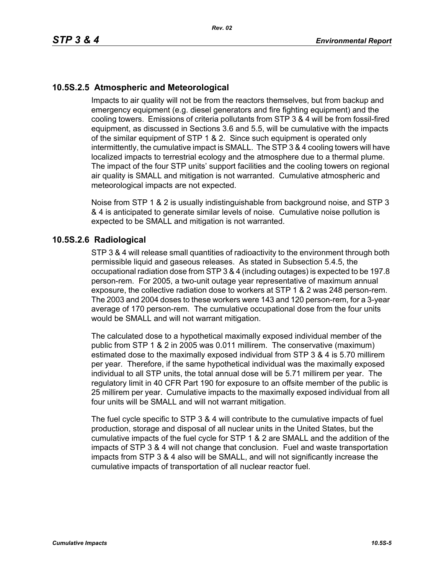# **10.5S.2.5 Atmospheric and Meteorological**

Impacts to air quality will not be from the reactors themselves, but from backup and emergency equipment (e.g. diesel generators and fire fighting equipment) and the cooling towers. Emissions of criteria pollutants from STP 3 & 4 will be from fossil-fired equipment, as discussed in Sections 3.6 and 5.5, will be cumulative with the impacts of the similar equipment of STP 1 & 2. Since such equipment is operated only intermittently, the cumulative impact is SMALL. The STP 3 & 4 cooling towers will have localized impacts to terrestrial ecology and the atmosphere due to a thermal plume. The impact of the four STP units' support facilities and the cooling towers on regional air quality is SMALL and mitigation is not warranted. Cumulative atmospheric and meteorological impacts are not expected.

Noise from STP 1 & 2 is usually indistinguishable from background noise, and STP 3 & 4 is anticipated to generate similar levels of noise. Cumulative noise pollution is expected to be SMALL and mitigation is not warranted.

## **10.5S.2.6 Radiological**

STP 3 & 4 will release small quantities of radioactivity to the environment through both permissible liquid and gaseous releases. As stated in Subsection 5.4.5, the occupational radiation dose from STP 3 & 4 (including outages) is expected to be 197.8 person-rem. For 2005, a two-unit outage year representative of maximum annual exposure, the collective radiation dose to workers at STP 1 & 2 was 248 person-rem. The 2003 and 2004 doses to these workers were 143 and 120 person-rem, for a 3-year average of 170 person-rem. The cumulative occupational dose from the four units would be SMALL and will not warrant mitigation.

The calculated dose to a hypothetical maximally exposed individual member of the public from STP 1 & 2 in 2005 was 0.011 millirem. The conservative (maximum) estimated dose to the maximally exposed individual from STP 3 & 4 is 5.70 millirem per year. Therefore, if the same hypothetical individual was the maximally exposed individual to all STP units, the total annual dose will be 5.71 millirem per year. The regulatory limit in 40 CFR Part 190 for exposure to an offsite member of the public is 25 millirem per year. Cumulative impacts to the maximally exposed individual from all four units will be SMALL and will not warrant mitigation.

The fuel cycle specific to STP 3 & 4 will contribute to the cumulative impacts of fuel production, storage and disposal of all nuclear units in the United States, but the cumulative impacts of the fuel cycle for STP 1 & 2 are SMALL and the addition of the impacts of STP 3 & 4 will not change that conclusion. Fuel and waste transportation impacts from STP 3 & 4 also will be SMALL, and will not significantly increase the cumulative impacts of transportation of all nuclear reactor fuel.